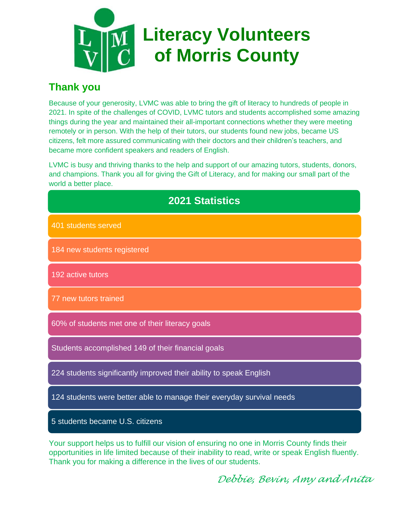

#### **Thank you**

Because of your generosity, LVMC was able to bring the gift of literacy to hundreds of people in 2021. In spite of the challenges of COVID, LVMC tutors and students accomplished some amazing things during the year and maintained their all-important connections whether they were meeting remotely or in person. With the help of their tutors, our students found new jobs, became US citizens, felt more assured communicating with their doctors and their children's teachers, and became more confident speakers and readers of English.

LVMC is busy and thriving thanks to the help and support of our amazing tutors, students, donors, and champions. Thank you all for giving the Gift of Literacy, and for making our small part of the world a better place.

| <b>2021 Statistics</b>                                                                           |  |  |  |  |  |  |
|--------------------------------------------------------------------------------------------------|--|--|--|--|--|--|
| 401 students served                                                                              |  |  |  |  |  |  |
| 184 new students registered                                                                      |  |  |  |  |  |  |
| 192 active tutors                                                                                |  |  |  |  |  |  |
| 77 new tutors trained                                                                            |  |  |  |  |  |  |
| 60% of students met one of their literacy goals                                                  |  |  |  |  |  |  |
| Students accomplished 149 of their financial goals                                               |  |  |  |  |  |  |
| 224 students significantly improved their ability to speak English                               |  |  |  |  |  |  |
| 124 students were better able to manage their everyday survival needs                            |  |  |  |  |  |  |
| 5 students became U.S. citizens                                                                  |  |  |  |  |  |  |
| Marin armamant bialam ing taufulfill mengedalam safangan dan ang sama ban Manda Operator Cardala |  |  |  |  |  |  |

Your support helps us to fulfill our vision of ensuring no one in Morris County finds their opportunities in life limited because of their inability to read, write or speak English fluently. Thank you for making a difference in the lives of our students.

*Debbie, Bevin, Amy and Anita*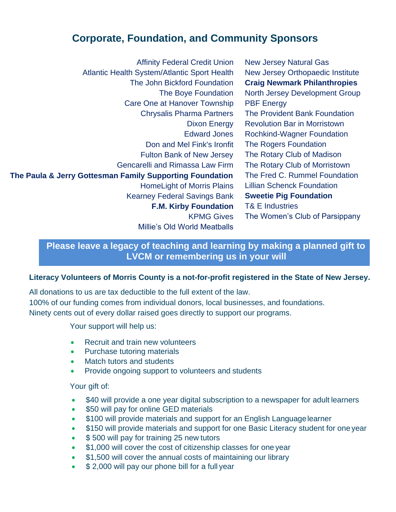#### **Corporate, Foundation, and Community Sponsors**

Affinity Federal Credit Union New Jersey Natural Gas Atlantic Health System/Atlantic Sport Health New Jersey Orthopaedic Institute The John Bickford Foundation **Craig Newmark Philanthropies** The Boye Foundation North Jersey Development Group Care One at Hanover Township PBF Energy Chrysalis Pharma Partners The Provident Bank Foundation Dixon Energy Revolution Bar in Morristown Edward Jones Rochkind-Wagner Foundation Don and Mel Fink's Ironfit The Rogers Foundation Fulton Bank of New Jersey The Rotary Club of Madison Gencarelli and Rimassa Law Firm The Rotary Club of Morristown **The Paula & Jerry Gottesman Family Supporting Foundation** The Fred C. Rummel Foundation HomeLight of Morris Plains Lillian Schenck Foundation Kearney Federal Savings Bank **Sweetie Pig Foundation F.M. Kirby Foundation** T& E Industries KPMG Gives The Women's Club of Parsippany Millie's Old World Meatballs

> **Please leave a legacy of teaching and learning by making a planned gift to LVCM or remembering us in your will**

#### **Literacy Volunteers of Morris County is a not-for-profit registered in the State of New Jersey.**

All donations to us are tax deductible to the full extent of the law. 100% of our funding comes from individual donors, local businesses, and foundations. Ninety cents out of every dollar raised goes directly to support our programs.

Your support will help us:

- Recruit and train new volunteers
- Purchase tutoring materials
- Match tutors and students
- Provide ongoing support to volunteers and students

Your gift of:

- \$40 will provide a one year digital subscription to a newspaper for adult learners
- \$50 will pay for online GED materials
- \$100 will provide materials and support for an English Language learner
- \$150 will provide materials and support for one Basic Literacy student for one year
- \$500 will pay for training 25 new tutors
- \$1,000 will cover the cost of citizenship classes for one year
- \$1,500 will cover the annual costs of maintaining our library
- \$ 2,000 will pay our phone bill for a full year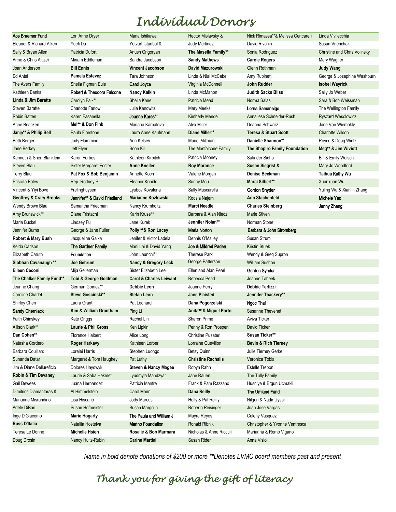## *Individual Donors*

| Ace Braemer Fund                   | Lori Anne Dryer              | Maria Ishikawa                     | Hector Mislavsky &        | Nick Rimassa**& Melissa Gencarelli | Linda Vivilecchia                   |
|------------------------------------|------------------------------|------------------------------------|---------------------------|------------------------------------|-------------------------------------|
| Eleanor & Richard Aiken            | Yueli Du                     | Yetvart Istanbul &                 | <b>Judy Martinez</b>      | David Rivchin                      | Susan Vnenchak                      |
| Sally & Bryan Allen                | Patricia Dufort              | Anush Grigoryan                    | The Masella Family**      | Sonia Rodriguez                    | <b>Christine and Chris Volinsky</b> |
| Anne & Chris Altizer               | Miriam Eddleman              | Sandra Jacobson                    | <b>Sandy Mathews</b>      | <b>Carole Rogers</b>               | Mary Wagner                         |
| Joan Anderson                      | <b>Bill Ennis</b>            | <b>Vincent Jacobson</b>            | David Mazurowski          | Glenn Rothman                      | Judy Wang                           |
| Ed Antal                           | <b>Pamela Estevez</b>        | Tara Johnson                       | Linda & Nial McCabe       | Amy Rubinetti                      | George & Josephine Washburn         |
| The Avers Family                   | Sheila Figman Eule           | Carol Joyce                        | Virginia McDonnell        | John Rudder                        | <b>Isobel Wayrick</b>               |
| Kathleen Banks                     | Robert & Theodora Falcone    | <b>Nancy Kalkin</b>                | Linda McMahon             | <b>Judith Sacks Bliss</b>          | Sally Jo Weber                      |
| Linda & Jim Baratte                | Carolyn Falk**               | Sheila Kane                        | Patricia Mead             | Norma Salas                        | Sara & Bob Weissman                 |
| <b>Steven Baratte</b>              | <b>Charlotte Farlow</b>      | Julia Kanowitz                     | Mary Meeks                | Loma Samaneigo                     | The Wellington Family               |
| <b>Robin Batten</b>                | Karen Fasanella              | Joanne Kares**                     | <b>Kimberly Mende</b>     | Annaliese Schneider-Rush           | <b>Ryszard Wesolowicz</b>           |
| Anne Beacken                       | Mel** & Don Fink             | Mariana Karpatova                  | Alex Miller               | Deanna Schwarz                     | Jane Van Wiemokly                   |
| Janie** & Philip Bell              | Paula Firestone              | Laura Anne Kaufmann                | Diane Miller**            | <b>Teresa &amp; Stuart Scott</b>   | <b>Charlotte Wilson</b>             |
| <b>Beth Berger</b>                 | Judy Flammino                | Ann Kelsey                         | Muriel Millman            | Danielle Shannon**                 | Royce & Doug Wintz                  |
| Jane Berkey                        | Jeff Flyer                   | Soon Kil                           | The Monfalcone Family     | The Shapiro Family Foundation      | Meg** & Jim Wiviott                 |
| Kenneth & Sheri Blankfein          | Karon Forbes                 | Kathleen Kirpitch                  | Patricia Mooney           | Satinder Sidhu                     | Bill & Emily Wolsch                 |
| Steven Blau                        | Sister Margaret Foster       | <b>Anne Kneller</b>                | <b>Roy Morance</b>        | <b>Susan Siegrist &amp;</b>        | Mary Jo Woodford                    |
| <b>Terry Blau</b>                  | Pat Fox & Bob Benjamin       | Annette Koch                       | Valerie Morgan            | Denise Beckman                     | Taihua Kathy Wu                     |
| Priscilla Boles                    | Rep. Rodney P.               | Eleanor Kopido                     | Sunny Mou                 | Marci Silbert**                    | Xuanxuan Wu                         |
| Vincent & Yiyi Bove                | Frelinghuysen                | Lyubov Kovalena                    | Sally Muscarella          | Gordon Snyder                      | Yuling Wu & Xianlin Zhang           |
| <b>Geoffrey &amp; Crary Brooks</b> | Jennifer** & David Friedland | <b>Marianne Kozlowski</b>          | Kodsia Najem              | <b>Ann Stachenfeld</b>             | Michele Yao                         |
| Wendy Brown Blau                   | Samantha Friedman            | Nancy Krumholtz                    | <b>Marci Needle</b>       | <b>Charles Steinberg</b>           | Jenny Zhang                         |
| Amy Brunswick**                    | Diane Fristachi              | Karin Kruse**                      | Barbara & Alan Niedz      | <b>Marie Stiven</b>                |                                     |
| Maria Buckel                       | Lindsey Fu                   | Jane Kurek                         | Jennifer Nolan**          | Norman Stone                       |                                     |
| Jennifer Burns                     | George & Jane Fuller         | Polly **& Ron Lacey                | <b>Maria Norton</b>       | Barbara & John Stromberg           |                                     |
| Robert & Mary Bush                 | Jacqueline Galka             | Jenifer & Victor Ladeia            | Dennis O'Malley           | Susan Strum                        |                                     |
| Kelda Carlson                      | The Gardner Family           | Mani Lai & David Yang              | Joe & Mildred Paden       | <b>Kristin Stuek</b>               |                                     |
| Elizabeth Caruth                   | <b>Foundation</b>            | John Launchi**                     | <b>Therese Park</b>       | Wendy & Greg Supron                |                                     |
| Siobhan Cavanaugh **               | Joe Gehrum                   | <b>Nancy &amp; Gregory Leck</b>    | George Patterson          | <b>William Sushon</b>              |                                     |
| Eileen Ceconi                      | Mija Gellerman               | Sister Elizabeth Lee               | Ellen and Alan Pearl      | <b>Gordon Synder</b>               |                                     |
| The Chalker Family Fund**          | Tobi & George Goldman        | <b>Carol &amp; Charles Leiwant</b> | Rebecca Pearl             | Joanne Tabeek                      |                                     |
| Jeanne Chang                       | German Gomez**               | Debbie Leon                        | Jeanne Perry              | Debbie Terlizzi                    |                                     |
| <b>Caroline Charlet</b>            | Steve Goscinski**            | <b>Stefan Leon</b>                 | <b>Jane Plaisted</b>      | Jennifer Thackery**                |                                     |
| Shirley Chen                       | Laura Grant                  | Pat Leonard                        | Dana Pogorzelski          | Ngoc Thai                          |                                     |
| <b>Sandy Cherniack</b>             | Kim & William Grantham       | Ping Li                            | Anita** & Miguel Porto    | <b>Susanne Thevenet</b>            |                                     |
| Faith Chinskey                     | Kate Griggs                  | Rachel Lin                         | Sharon Prime              | Aviva Ticker                       |                                     |
| Allison Clark**                    | Laurie & Phil Gross          | Ken Lipkin                         | Penny & Ron Prosperi      | David Ticker                       |                                     |
| Dan Cohen**                        | Florence Halbert             | Alice Long                         | Christine Pusateri        | Susan Ticker**                     |                                     |
| Natasha Cordero                    | <b>Roger Harkavy</b>         | Kathleen Lorber                    | Lorraine Quevillon        | <b>Bevin &amp; Rich Tierney</b>    |                                     |
| Barbara Couillard                  | Lorelei Harris               | Stephen Luongo                     | <b>Betsy Quinn</b>        | Julie Tierney Gerke                |                                     |
| Sunanda Datar                      | Margaret & Tom Haughey       | Pat Luthy                          | <b>Christine Rachalis</b> | Veronica Tobia                     |                                     |
| Jim & Diane Dellureficio           | Dolores Hayowyk              | <b>Steven &amp; Nancy Magee</b>    | Robyn Rahn                | Estelle Trebon                     |                                     |
| Robin & Tim Devaney                | Laurie & Saba Hekmet         | Lyudmyla Mahdzyar                  | Jane Rauen                | The Tully Family                   |                                     |
| <b>Gail Dewees</b>                 | Juana Hernandez              | Patricia Manfre                    | Frank & Pam Razzano       | Husniye & Ergun Ucmakli            |                                     |
| Dimitrios Diamantaras &            | Al Himmelsteib               | Carol Mann                         | Dana Reilly               | <b>The Umland Fund</b>             |                                     |
| Marianne Misrandino                | Lisa Hiscano                 | Jody Marcus                        | Holly & Pat Reilly        | Nilgun & Nadir Uysal               |                                     |
| Adele DiBari                       | Susan Hofmeister             | Susan Margolin                     | Roberto Reisinger         | Juan Jose Vargas                   |                                     |
| Inge DiGiacomo                     | <b>Marie Hogarty</b>         | The Paula and William J.           | Mayra Reyes               | Celeny Vasquez                     |                                     |
| <b>Russ D'Italia</b>               | Nataliia Hosteiva            | <b>Marino Foundation</b>           | <b>Ronald Ribnik</b>      | Christopher & Yvonne Ventresca     |                                     |
| Teresa Le Donne                    | <b>Michelle Hsieh</b>        | Rosalie & Bob Marmara              | Nicholas & Anne Ricculli  | Marianna & Remo Vigano             |                                     |
| Doug Drosin                        | Nancy Hults-Rubin            | <b>Carine Martial</b>              | Susan Rider               | Anna Visioli                       |                                     |

*Name in bold denote donations of \$200 or more \*\*Denotes LVMC board members past and present*

### *Thank you for giving the gift of literacy*